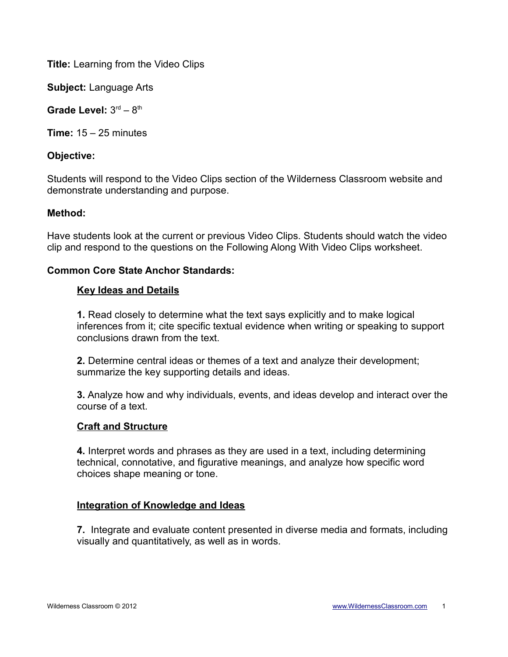**Title:** Learning from the Video Clips

**Subject:** Language Arts

Grade Level:  $3<sup>rd</sup> - 8<sup>th</sup>$ 

**Time:** 15 – 25 minutes

# **Objective:**

Students will respond to the Video Clips section of the Wilderness Classroom website and demonstrate understanding and purpose.

## **Method:**

Have students look at the current or previous Video Clips. Students should watch the video clip and respond to the questions on the Following Along With Video Clips worksheet.

## **Common Core State Anchor Standards:**

## **Key Ideas and Details**

**1.** Read closely to determine what the text says explicitly and to make logical inferences from it; cite specific textual evidence when writing or speaking to support conclusions drawn from the text.

**2.** Determine central ideas or themes of a text and analyze their development; summarize the key supporting details and ideas.

**3.** Analyze how and why individuals, events, and ideas develop and interact over the course of a text.

#### **Craft and Structure**

**4.** Interpret words and phrases as they are used in a text, including determining technical, connotative, and figurative meanings, and analyze how specific word choices shape meaning or tone.

## **Integration of Knowledge and Ideas**

**7.** Integrate and evaluate content presented in diverse media and formats, including visually and quantitatively, as well as in words.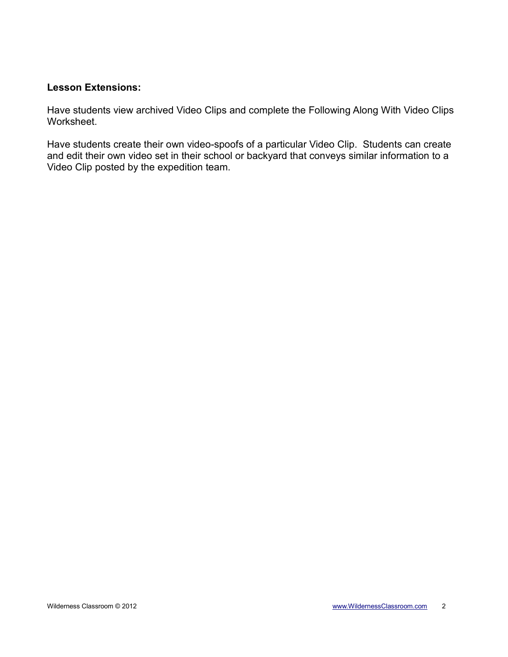## **Lesson Extensions:**

Have students view archived Video Clips and complete the Following Along With Video Clips Worksheet.

Have students create their own video-spoofs of a particular Video Clip. Students can create and edit their own video set in their school or backyard that conveys similar information to a Video Clip posted by the expedition team.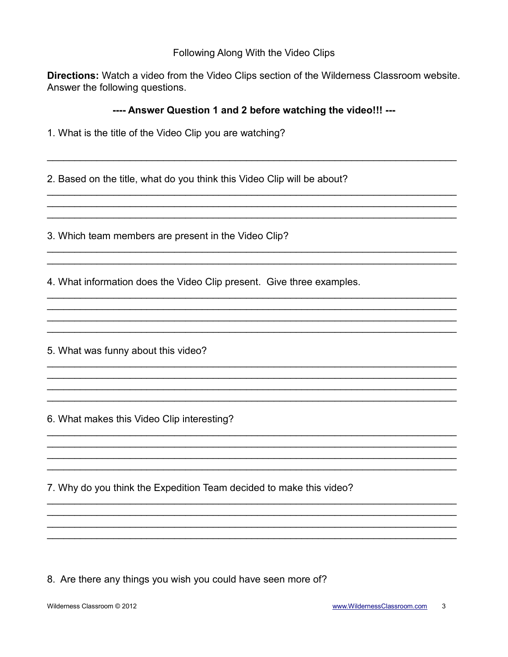## Following Along With the Video Clips

Directions: Watch a video from the Video Clips section of the Wilderness Classroom website. Answer the following questions.

## ---- Answer Question 1 and 2 before watching the video!!! ---

| 1. What is the title of the Video Clip you are watching? |  |  |  |  |  |  |  |  |
|----------------------------------------------------------|--|--|--|--|--|--|--|--|
|----------------------------------------------------------|--|--|--|--|--|--|--|--|

2. Based on the title, what do you think this Video Clip will be about?

3. Which team members are present in the Video Clip?

4. What information does the Video Clip present. Give three examples.

5. What was funny about this video?

6. What makes this Video Clip interesting?

7. Why do you think the Expedition Team decided to make this video?

8. Are there any things you wish you could have seen more of?